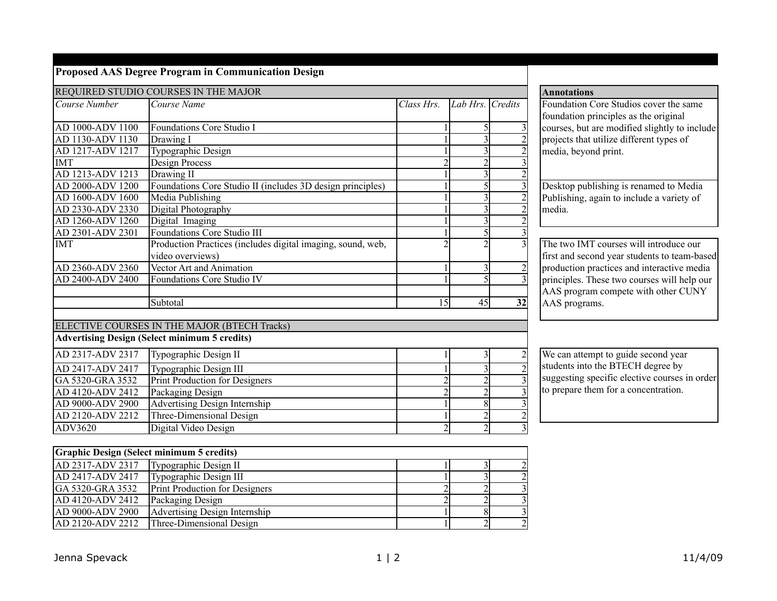|  |  | <b>Proposed AAS Degree Program in Communication Design</b> |  |  |
|--|--|------------------------------------------------------------|--|--|
|  |  |                                                            |  |  |

Print Production for Designers<br>Packaging Design

|                  | REQUIRED STUDIO COURSES IN THE MAJOR                        |                |                         |                |
|------------------|-------------------------------------------------------------|----------------|-------------------------|----------------|
| Course Number    | Course Name                                                 | Class Hrs.     | Lab Hrs. Credits        |                |
|                  |                                                             |                |                         |                |
| AD 1000-ADV 1100 | Foundations Core Studio I                                   |                | 5                       | 3              |
| AD 1130-ADV 1130 | Drawing I                                                   |                | 3                       | $\overline{c}$ |
| AD 1217-ADV 1217 | Typographic Design                                          |                | 3                       | $rac{2}{3}$    |
| <b>IMT</b>       | Design Process                                              | $\overline{2}$ | $\overline{2}$          |                |
| AD 1213-ADV 1213 | Drawing II                                                  |                | $\overline{\mathbf{3}}$ | $\overline{c}$ |
| AD 2000-ADV 1200 | Foundations Core Studio II (includes 3D design principles)  |                | $\overline{5}$          | $\overline{3}$ |
| AD 1600-ADV 1600 | Media Publishing                                            | 1              | $\overline{\mathbf{3}}$ | $\overline{2}$ |
| AD 2330-ADV 2330 | Digital Photography                                         |                | $\overline{3}$          | $\overline{2}$ |
| AD 1260-ADV 1260 | Digital Imaging                                             |                | $\overline{3}$          |                |
| AD 2301-ADV 2301 | <b>Foundations Core Studio III</b>                          |                | $\overline{5}$          | $\frac{2}{3}$  |
| <b>IMT</b>       | Production Practices (includes digital imaging, sound, web, | $\overline{2}$ | $\overline{2}$          | $\overline{3}$ |
|                  | video overviews)                                            |                |                         |                |
| AD 2360-ADV 2360 | Vector Art and Animation                                    | $\mathbf{1}$   | 3                       | $\overline{c}$ |
| AD 2400-ADV 2400 | Foundations Core Studio IV                                  |                | $\overline{5}$          | $\overline{3}$ |
|                  |                                                             |                |                         |                |
|                  | Subtotal                                                    | 15             | 45                      | 32             |
|                  |                                                             |                |                         |                |
|                  | ELECTIVE COURSES IN THE MAJOR (BTECH Tracks)                |                |                         |                |
|                  | <b>Advertising Design (Select minimum 5 credits)</b>        |                |                         |                |
| AD 2317-ADV 2317 | Typographic Design II                                       | 1              | 3                       | $\overline{c}$ |
| AD 2417-ADV 2417 | Typographic Design III                                      | 1              | $\overline{3}$          | $\overline{2}$ |
| GA 5320-GRA 3532 | <b>Print Production for Designers</b>                       | $\overline{2}$ | $\overline{c}$          | 3              |
| AD 4120-ADV 2412 | Packaging Design                                            | $\overline{2}$ | $\overline{c}$          | 3              |
| AD 9000-ADV 2900 | Advertising Design Internship                               | $\mathbf{1}$   | $\overline{8}$          | 3              |
| AD 2120-ADV 2212 | Three-Dimensional Design                                    | $\mathbf{1}$   | $\overline{c}$          | $\overline{c}$ |
| ADV3620          | Digital Video Design                                        | $\overline{2}$ | $\overline{2}$          | $\overline{3}$ |
|                  |                                                             |                |                         |                |
|                  | <b>Graphic Design (Select minimum 5 credits)</b>            |                |                         |                |
| AD 2317-ADV 2317 | Typographic Design II                                       | 1 <sup>1</sup> | $\overline{3}$          | $\overline{2}$ |
| AD 2417-ADV 2417 | Typographic Design III                                      | 1              | $\overline{\mathbf{3}}$ | $\overline{2}$ |
| GA 5320-GRA 3532 | Print Production for Designers                              | $\mathfrak{D}$ | $\overline{2}$          | $\overline{3}$ |

 $AD$  4120-ADV 2412 Packaging Design 2 3  $\vert$  AD 9000-ADV 2900  $\vert$  Advertising Design Internship 1 8 3

 $\overline{AD}$  2120-ADV 2212 Three-Dimensional Design 1 2

## Foundation Core Studios cover the same foundation principles as the original courses, but are modified slightly to include projects that utilize different types of media, beyond print. Desktop publishing is renamed to Media Publishing, again to include a variety of media. The two IMT courses will introduce our first and second year students to team-based production practices and interactive media principles. These two courses will help our AAS program compete with other CUNY AAS programs.

**Annotations**

We can attempt to guide second year students into the BTECH degree by suggesting specific elective courses in order to prepare them for a concentration.